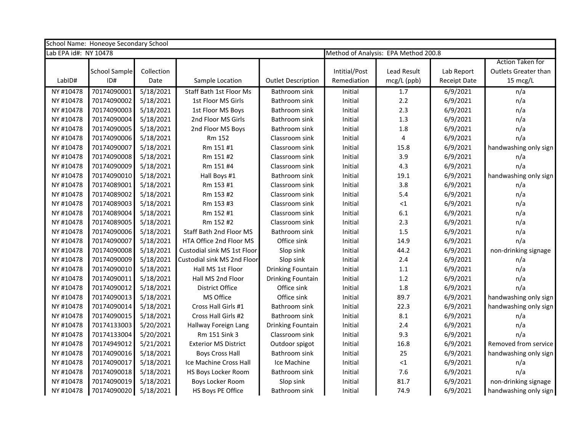| School Name: Honeoye Secondary School |               |            |                             |                           |                                      |                    |                     |                             |  |
|---------------------------------------|---------------|------------|-----------------------------|---------------------------|--------------------------------------|--------------------|---------------------|-----------------------------|--|
| Lab EPA id#: NY 10478                 |               |            |                             |                           | Method of Analysis: EPA Method 200.8 |                    |                     |                             |  |
|                                       |               |            |                             |                           |                                      |                    |                     | <b>Action Taken for</b>     |  |
|                                       | School Sample | Collection |                             |                           | Intitial/Post                        | <b>Lead Result</b> | Lab Report          | <b>Outlets Greater than</b> |  |
| Lab <sub>ID#</sub>                    | ID#           | Date       | Sample Location             | <b>Outlet Description</b> | Remediation                          | mcg/L (ppb)        | <b>Receipt Date</b> | 15 mcg/L                    |  |
| NY #10478                             | 70174090001   | 5/18/2021  | Staff Bath 1st Floor Ms     | Bathroom sink             | Initial                              | 1.7                | 6/9/2021            | n/a                         |  |
| NY #10478                             | 70174090002   | 5/18/2021  | 1st Floor MS Girls          | Bathroom sink             | Initial                              | 2.2                | 6/9/2021            | n/a                         |  |
| NY #10478                             | 70174090003   | 5/18/2021  | 1st Floor MS Boys           | Bathroom sink             | Initial                              | 2.3                | 6/9/2021            | n/a                         |  |
| NY #10478                             | 70174090004   | 5/18/2021  | 2nd Floor MS Girls          | Bathroom sink             | Initial                              | 1.3                | 6/9/2021            | n/a                         |  |
| NY #10478                             | 70174090005   | 5/18/2021  | 2nd Floor MS Boys           | Bathroom sink             | Initial                              | 1.8                | 6/9/2021            | n/a                         |  |
| NY #10478                             | 70174090006   | 5/18/2021  | Rm 152                      | Classroom sink            | Initial                              | 4                  | 6/9/2021            | n/a                         |  |
| NY #10478                             | 70174090007   | 5/18/2021  | Rm 151 #1                   | Classroom sink            | Initial                              | 15.8               | 6/9/2021            | handwashing only sign       |  |
| NY #10478                             | 70174090008   | 5/18/2021  | Rm 151 #2                   | Classroom sink            | Initial                              | 3.9                | 6/9/2021            | n/a                         |  |
| NY #10478                             | 70174090009   | 5/18/2021  | Rm 151 #4                   | Classroom sink            | Initial                              | 4.3                | 6/9/2021            | n/a                         |  |
| NY #10478                             | 70174090010   | 5/18/2021  | Hall Boys #1                | Bathroom sink             | Initial                              | 19.1               | 6/9/2021            | handwashing only sign       |  |
| NY #10478                             | 70174089001   | 5/18/2021  | Rm 153 #1                   | Classroom sink            | Initial                              | 3.8                | 6/9/2021            | n/a                         |  |
| NY #10478                             | 70174089002   | 5/18/2021  | Rm 153 #2                   | Classroom sink            | Initial                              | 5.4                | 6/9/2021            | n/a                         |  |
| NY #10478                             | 70174089003   | 5/18/2021  | Rm 153 #3                   | Classroom sink            | Initial                              | ${<}1$             | 6/9/2021            | n/a                         |  |
| NY #10478                             | 70174089004   | 5/18/2021  | Rm 152 #1                   | Classroom sink            | Initial                              | 6.1                | 6/9/2021            | n/a                         |  |
| NY #10478                             | 70174089005   | 5/18/2021  | Rm 152 #2                   | Classroom sink            | Initial                              | 2.3                | 6/9/2021            | n/a                         |  |
| NY #10478                             | 70174090006   | 5/18/2021  | Staff Bath 2nd Floor MS     | Bathroom sink             | Initial                              | 1.5                | 6/9/2021            | n/a                         |  |
| NY #10478                             | 70174090007   | 5/18/2021  | HTA Office 2nd Floor MS     | Office sink               | Initial                              | 14.9               | 6/9/2021            | n/a                         |  |
| NY #10478                             | 70174090008   | 5/18/2021  | Custodial sink MS 1st Floor | Slop sink                 | Initial                              | 44.2               | 6/9/2021            | non-drinking signage        |  |
| NY #10478                             | 70174090009   | 5/18/2021  | Custodial sink MS 2nd Floor | Slop sink                 | Initial                              | 2.4                | 6/9/2021            | n/a                         |  |
| NY #10478                             | 70174090010   | 5/18/2021  | Hall MS 1st Floor           | <b>Drinking Fountain</b>  | Initial                              | $1.1\,$            | 6/9/2021            | n/a                         |  |
| NY #10478                             | 70174090011   | 5/18/2021  | Hall MS 2nd Floor           | Drinking Fountain         | Initial                              | $1.2\,$            | 6/9/2021            | n/a                         |  |
| NY #10478                             | 70174090012   | 5/18/2021  | District Office             | Office sink               | Initial                              | 1.8                | 6/9/2021            | n/a                         |  |
| NY #10478                             | 70174090013   | 5/18/2021  | MS Office                   | Office sink               | Initial                              | 89.7               | 6/9/2021            | handwashing only sign       |  |
| NY #10478                             | 70174090014   | 5/18/2021  | Cross Hall Girls #1         | Bathroom sink             | Initial                              | 22.3               | 6/9/2021            | handwashing only sign       |  |
| NY #10478                             | 70174090015   | 5/18/2021  | Cross Hall Girls #2         | Bathroom sink             | Initial                              | 8.1                | 6/9/2021            | n/a                         |  |
| NY #10478                             | 70174133003   | 5/20/2021  | Hallway Foreign Lang        | <b>Drinking Fountain</b>  | Initial                              | 2.4                | 6/9/2021            | n/a                         |  |
| NY #10478                             | 70174133004   | 5/20/2021  | Rm 151 Sink 3               | Classroom sink            | Initial                              | 9.3                | 6/9/2021            | n/a                         |  |
| NY #10478                             | 70174949012   | 5/21/2021  | <b>Exterior MS District</b> | Outdoor spigot            | Initial                              | 16.8               | 6/9/2021            | Removed from service        |  |
| NY #10478                             | 70174090016   | 5/18/2021  | <b>Boys Cross Hall</b>      | Bathroom sink             | Initial                              | 25                 | 6/9/2021            | handwashing only sign       |  |
| NY #10478                             | 70174090017   | 5/18/2021  | Ice Machine Cross Hall      | Ice Machine               | Initial                              | ${<}1$             | 6/9/2021            | n/a                         |  |
| NY #10478                             | 70174090018   | 5/18/2021  | HS Boys Locker Room         | Bathroom sink             | Initial                              | 7.6                | 6/9/2021            | n/a                         |  |
| NY #10478                             | 70174090019   | 5/18/2021  | Boys Locker Room            | Slop sink                 | Initial                              | 81.7               | 6/9/2021            | non-drinking signage        |  |
| NY #10478                             | 70174090020   | 5/18/2021  | HS Boys PE Office           | Bathroom sink             | Initial                              | 74.9               | 6/9/2021            | handwashing only sign       |  |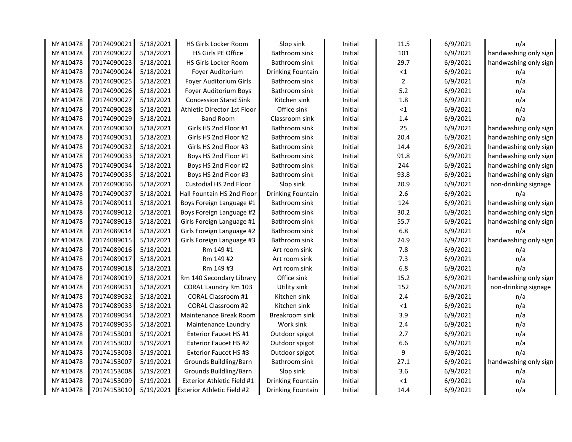| NY #10478 | 70174090021 | 5/18/2021 | HS Girls Locker Room              | Slop sink         | Initial | 11.5           | 6/9/2021 | n/a                   |  |
|-----------|-------------|-----------|-----------------------------------|-------------------|---------|----------------|----------|-----------------------|--|
| NY #10478 | 70174090022 | 5/18/2021 | HS Girls PE Office                | Bathroom sink     | Initial | 101            | 6/9/2021 | handwashing only sign |  |
| NY #10478 | 70174090023 | 5/18/2021 | HS Girls Locker Room              | Bathroom sink     | Initial | 29.7           | 6/9/2021 | handwashing only sign |  |
| NY #10478 | 70174090024 | 5/18/2021 | Foyer Auditorium                  | Drinking Fountain | Initial | $<1$           | 6/9/2021 | n/a                   |  |
| NY #10478 | 70174090025 | 5/18/2021 | Foyer Auditorium Girls            | Bathroom sink     | Initial | $\overline{2}$ | 6/9/2021 | n/a                   |  |
| NY #10478 | 70174090026 | 5/18/2021 | Foyer Auditorium Boys             | Bathroom sink     | Initial | $5.2$          | 6/9/2021 | n/a                   |  |
| NY #10478 | 70174090027 | 5/18/2021 | <b>Concession Stand Sink</b>      | Kitchen sink      | Initial | 1.8            | 6/9/2021 | n/a                   |  |
| NY #10478 | 70174090028 | 5/18/2021 | Athletic Director 1st Floor       | Office sink       | Initial | ${<}1$         | 6/9/2021 | n/a                   |  |
| NY #10478 | 70174090029 | 5/18/2021 | <b>Band Room</b>                  | Classroom sink    | Initial | 1.4            | 6/9/2021 | n/a                   |  |
| NY #10478 | 70174090030 | 5/18/2021 | Girls HS 2nd Floor #1             | Bathroom sink     | Initial | 25             | 6/9/2021 | handwashing only sign |  |
| NY #10478 | 70174090031 | 5/18/2021 | Girls HS 2nd Floor #2             | Bathroom sink     | Initial | 20.4           | 6/9/2021 | handwashing only sign |  |
| NY #10478 | 70174090032 | 5/18/2021 | Girls HS 2nd Floor #3             | Bathroom sink     | Initial | 14.4           | 6/9/2021 | handwashing only sign |  |
| NY #10478 | 70174090033 | 5/18/2021 | Boys HS 2nd Floor #1              | Bathroom sink     | Initial | 91.8           | 6/9/2021 | handwashing only sign |  |
| NY #10478 | 70174090034 | 5/18/2021 | Boys HS 2nd Floor #2              | Bathroom sink     | Initial | 244            | 6/9/2021 | handwashing only sign |  |
| NY #10478 | 70174090035 | 5/18/2021 | Boys HS 2nd Floor #3              | Bathroom sink     | Initial | 93.8           | 6/9/2021 | handwashing only sign |  |
| NY #10478 | 70174090036 | 5/18/2021 | Custodial HS 2nd Floor            | Slop sink         | Initial | 20.9           | 6/9/2021 | non-drinking signage  |  |
| NY #10478 | 70174090037 | 5/18/2021 | Hall Fountain HS 2nd Floor        | Drinking Fountain | Initial | 2.6            | 6/9/2021 | n/a                   |  |
| NY #10478 | 70174089011 | 5/18/2021 | Boys Foreign Language #1          | Bathroom sink     | Initial | 124            | 6/9/2021 | handwashing only sign |  |
| NY #10478 | 70174089012 | 5/18/2021 | Boys Foreign Language #2          | Bathroom sink     | Initial | 30.2           | 6/9/2021 | handwashing only sign |  |
| NY #10478 | 70174089013 | 5/18/2021 | Girls Foreign Language #1         | Bathroom sink     | Initial | 55.7           | 6/9/2021 | handwashing only sign |  |
| NY #10478 | 70174089014 | 5/18/2021 | Girls Foreign Language #2         | Bathroom sink     | Initial | 6.8            | 6/9/2021 | n/a                   |  |
| NY #10478 | 70174089015 | 5/18/2021 | Girls Foreign Language #3         | Bathroom sink     | Initial | 24.9           | 6/9/2021 | handwashing only sign |  |
| NY #10478 | 70174089016 | 5/18/2021 | Rm 149 #1                         | Art room sink     | Initial | 7.8            | 6/9/2021 | n/a                   |  |
| NY #10478 | 70174089017 | 5/18/2021 | Rm 149 #2                         | Art room sink     | Initial | 7.3            | 6/9/2021 | n/a                   |  |
| NY #10478 | 70174089018 | 5/18/2021 | Rm 149 #3                         | Art room sink     | Initial | 6.8            | 6/9/2021 | n/a                   |  |
| NY #10478 | 70174089019 | 5/18/2021 | Rm 140 Secondary Library          | Office sink       | Initial | 15.2           | 6/9/2021 | handwashing only sign |  |
| NY #10478 | 70174089031 | 5/18/2021 | CORAL Laundry Rm 103              | Utility sink      | Initial | 152            | 6/9/2021 | non-drinking signage  |  |
| NY #10478 | 70174089032 | 5/18/2021 | <b>CORAL Classroom #1</b>         | Kitchen sink      | Initial | 2.4            | 6/9/2021 | n/a                   |  |
| NY #10478 | 70174089033 | 5/18/2021 | <b>CORAL Classroom #2</b>         | Kitchen sink      | Initial | ${<}1$         | 6/9/2021 | n/a                   |  |
| NY #10478 | 70174089034 | 5/18/2021 | Maintenance Break Room            | Breakroom sink    | Initial | 3.9            | 6/9/2021 | n/a                   |  |
| NY #10478 | 70174089035 | 5/18/2021 | Maintenance Laundry               | Work sink         | Initial | 2.4            | 6/9/2021 | n/a                   |  |
| NY #10478 | 70174153001 | 5/19/2021 | Exterior Faucet HS #1             | Outdoor spigot    | Initial | 2.7            | 6/9/2021 | n/a                   |  |
| NY #10478 | 70174153002 | 5/19/2021 | <b>Exterior Faucet HS #2</b>      | Outdoor spigot    | Initial | 6.6            | 6/9/2021 | n/a                   |  |
| NY #10478 | 70174153003 | 5/19/2021 | Exterior Faucet HS #3             | Outdoor spigot    | Initial | 9              | 6/9/2021 | n/a                   |  |
| NY #10478 | 70174153007 | 5/19/2021 | Grounds Buildling/Barn            | Bathroom sink     | Initial | 27.1           | 6/9/2021 | handwashing only sign |  |
| NY #10478 | 70174153008 | 5/19/2021 | Grounds Buildling/Barn            | Slop sink         | Initial | 3.6            | 6/9/2021 | n/a                   |  |
| NY #10478 | 70174153009 | 5/19/2021 | Exterior Athletic Field #1        | Drinking Fountain | Initial | ${<}1$         | 6/9/2021 | n/a                   |  |
| NY #10478 | 70174153010 | 5/19/2021 | <b>Exterior Athletic Field #2</b> | Drinking Fountain | Initial | 14.4           | 6/9/2021 | n/a                   |  |